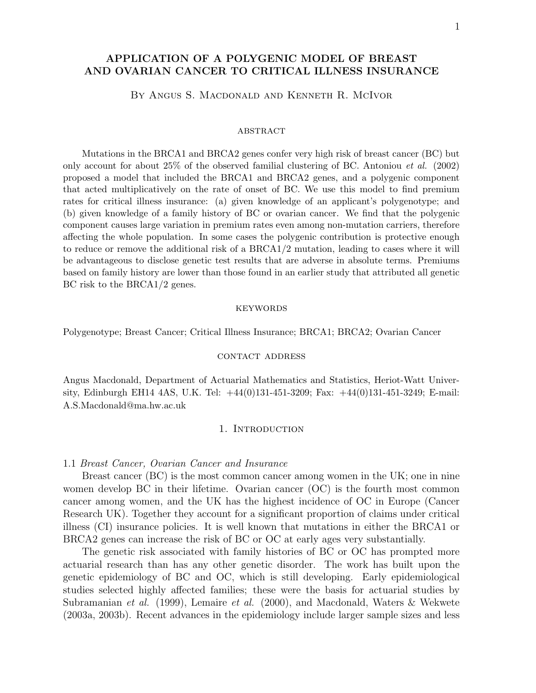# APPLICATION OF A POLYGENIC MODEL OF BREAST AND OVARIAN CANCER TO CRITICAL ILLNESS INSURANCE

By Angus S. Macdonald and Kenneth R. McIvor

#### **ABSTRACT**

Mutations in the BRCA1 and BRCA2 genes confer very high risk of breast cancer (BC) but only account for about 25% of the observed familial clustering of BC. Antoniou *et al.* (2002) proposed a model that included the BRCA1 and BRCA2 genes, and a polygenic component that acted multiplicatively on the rate of onset of BC. We use this model to find premium rates for critical illness insurance: (a) given knowledge of an applicant's polygenotype; and (b) given knowledge of a family history of BC or ovarian cancer. We find that the polygenic component causes large variation in premium rates even among non-mutation carriers, therefore affecting the whole population. In some cases the polygenic contribution is protective enough to reduce or remove the additional risk of a BRCA1/2 mutation, leading to cases where it will be advantageous to disclose genetic test results that are adverse in absolute terms. Premiums based on family history are lower than those found in an earlier study that attributed all genetic BC risk to the BRCA1/2 genes.

#### **KEYWORDS**

Polygenotype; Breast Cancer; Critical Illness Insurance; BRCA1; BRCA2; Ovarian Cancer

#### contact address

Angus Macdonald, Department of Actuarial Mathematics and Statistics, Heriot-Watt University, Edinburgh EH14 4AS, U.K. Tel: +44(0)131-451-3209; Fax: +44(0)131-451-3249; E-mail: A.S.Macdonald@ma.hw.ac.uk

#### 1. Introduction

#### 1.1 Breast Cancer, Ovarian Cancer and Insurance

Breast cancer (BC) is the most common cancer among women in the UK; one in nine women develop BC in their lifetime. Ovarian cancer (OC) is the fourth most common cancer among women, and the UK has the highest incidence of OC in Europe (Cancer Research UK). Together they account for a significant proportion of claims under critical illness (CI) insurance policies. It is well known that mutations in either the BRCA1 or BRCA2 genes can increase the risk of BC or OC at early ages very substantially.

The genetic risk associated with family histories of BC or OC has prompted more actuarial research than has any other genetic disorder. The work has built upon the genetic epidemiology of BC and OC, which is still developing. Early epidemiological studies selected highly affected families; these were the basis for actuarial studies by Subramanian et al. (1999), Lemaire et al. (2000), and Macdonald, Waters & Wekwete (2003a, 2003b). Recent advances in the epidemiology include larger sample sizes and less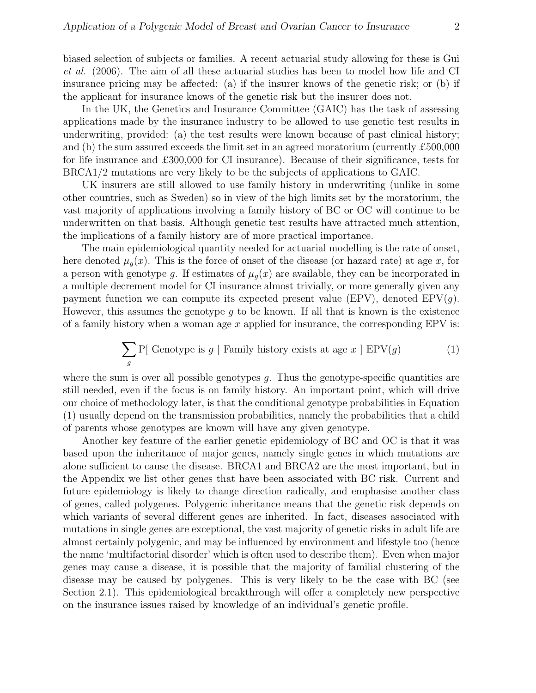biased selection of subjects or families. A recent actuarial study allowing for these is Gui et al. (2006). The aim of all these actuarial studies has been to model how life and CI insurance pricing may be affected: (a) if the insurer knows of the genetic risk; or (b) if the applicant for insurance knows of the genetic risk but the insurer does not.

In the UK, the Genetics and Insurance Committee (GAIC) has the task of assessing applications made by the insurance industry to be allowed to use genetic test results in underwriting, provided: (a) the test results were known because of past clinical history; and (b) the sum assured exceeds the limit set in an agreed moratorium (currently £500,000 for life insurance and £300,000 for CI insurance). Because of their significance, tests for BRCA1/2 mutations are very likely to be the subjects of applications to GAIC.

UK insurers are still allowed to use family history in underwriting (unlike in some other countries, such as Sweden) so in view of the high limits set by the moratorium, the vast majority of applications involving a family history of BC or OC will continue to be underwritten on that basis. Although genetic test results have attracted much attention, the implications of a family history are of more practical importance.

The main epidemiological quantity needed for actuarial modelling is the rate of onset, here denoted  $\mu_q(x)$ . This is the force of onset of the disease (or hazard rate) at age x, for a person with genotype g. If estimates of  $\mu_g(x)$  are available, they can be incorporated in a multiple decrement model for CI insurance almost trivially, or more generally given any payment function we can compute its expected present value (EPV), denoted  $EPV(q)$ . However, this assumes the genotype  $g$  to be known. If all that is known is the existence of a family history when a woman age  $x$  applied for insurance, the corresponding EPV is:

$$
\sum_{g} P[ \text{ Genotype is } g \mid \text{Family history exists at age } x \mid \text{EPV}(g) \tag{1}
$$

where the sum is over all possible genotypes  $q$ . Thus the genotype-specific quantities are still needed, even if the focus is on family history. An important point, which will drive our choice of methodology later, is that the conditional genotype probabilities in Equation (1) usually depend on the transmission probabilities, namely the probabilities that a child of parents whose genotypes are known will have any given genotype.

Another key feature of the earlier genetic epidemiology of BC and OC is that it was based upon the inheritance of major genes, namely single genes in which mutations are alone sufficient to cause the disease. BRCA1 and BRCA2 are the most important, but in the Appendix we list other genes that have been associated with BC risk. Current and future epidemiology is likely to change direction radically, and emphasise another class of genes, called polygenes. Polygenic inheritance means that the genetic risk depends on which variants of several different genes are inherited. In fact, diseases associated with mutations in single genes are exceptional, the vast majority of genetic risks in adult life are almost certainly polygenic, and may be influenced by environment and lifestyle too (hence the name 'multifactorial disorder' which is often used to describe them). Even when major genes may cause a disease, it is possible that the majority of familial clustering of the disease may be caused by polygenes. This is very likely to be the case with BC (see Section 2.1). This epidemiological breakthrough will offer a completely new perspective on the insurance issues raised by knowledge of an individual's genetic profile.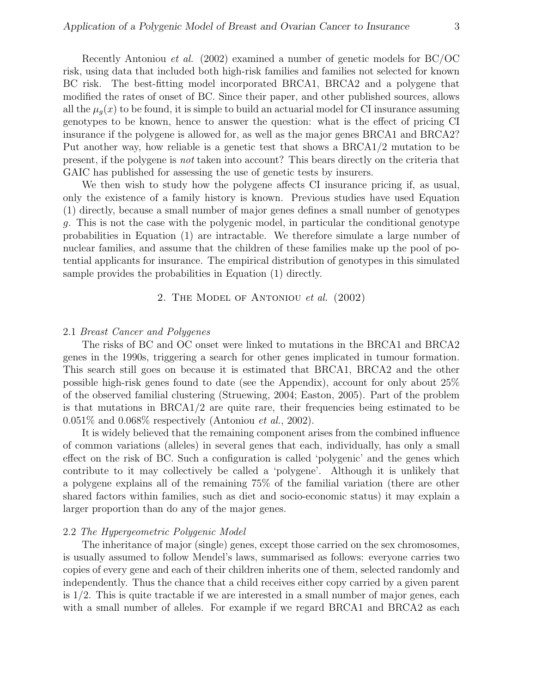Recently Antoniou et al. (2002) examined a number of genetic models for BC/OC risk, using data that included both high-risk families and families not selected for known BC risk. The best-fitting model incorporated BRCA1, BRCA2 and a polygene that modified the rates of onset of BC. Since their paper, and other published sources, allows all the  $\mu_q(x)$  to be found, it is simple to build an actuarial model for CI insurance assuming genotypes to be known, hence to answer the question: what is the effect of pricing CI insurance if the polygene is allowed for, as well as the major genes BRCA1 and BRCA2? Put another way, how reliable is a genetic test that shows a BRCA1/2 mutation to be present, if the polygene is not taken into account? This bears directly on the criteria that GAIC has published for assessing the use of genetic tests by insurers.

We then wish to study how the polygene affects CI insurance pricing if, as usual, only the existence of a family history is known. Previous studies have used Equation (1) directly, because a small number of major genes defines a small number of genotypes g. This is not the case with the polygenic model, in particular the conditional genotype probabilities in Equation (1) are intractable. We therefore simulate a large number of nuclear families, and assume that the children of these families make up the pool of potential applicants for insurance. The empirical distribution of genotypes in this simulated sample provides the probabilities in Equation (1) directly.

# 2. The Model of Antoniou et al. (2002)

# 2.1 Breast Cancer and Polygenes

The risks of BC and OC onset were linked to mutations in the BRCA1 and BRCA2 genes in the 1990s, triggering a search for other genes implicated in tumour formation. This search still goes on because it is estimated that BRCA1, BRCA2 and the other possible high-risk genes found to date (see the Appendix), account for only about 25% of the observed familial clustering (Struewing, 2004; Easton, 2005). Part of the problem is that mutations in BRCA1/2 are quite rare, their frequencies being estimated to be  $0.051\%$  and  $0.068\%$  respectively (Antoniou *et al.*, 2002).

It is widely believed that the remaining component arises from the combined influence of common variations (alleles) in several genes that each, individually, has only a small effect on the risk of BC. Such a configuration is called 'polygenic' and the genes which contribute to it may collectively be called a 'polygene'. Although it is unlikely that a polygene explains all of the remaining 75% of the familial variation (there are other shared factors within families, such as diet and socio-economic status) it may explain a larger proportion than do any of the major genes.

### 2.2 The Hypergeometric Polygenic Model

The inheritance of major (single) genes, except those carried on the sex chromosomes, is usually assumed to follow Mendel's laws, summarised as follows: everyone carries two copies of every gene and each of their children inherits one of them, selected randomly and independently. Thus the chance that a child receives either copy carried by a given parent is 1/2. This is quite tractable if we are interested in a small number of major genes, each with a small number of alleles. For example if we regard BRCA1 and BRCA2 as each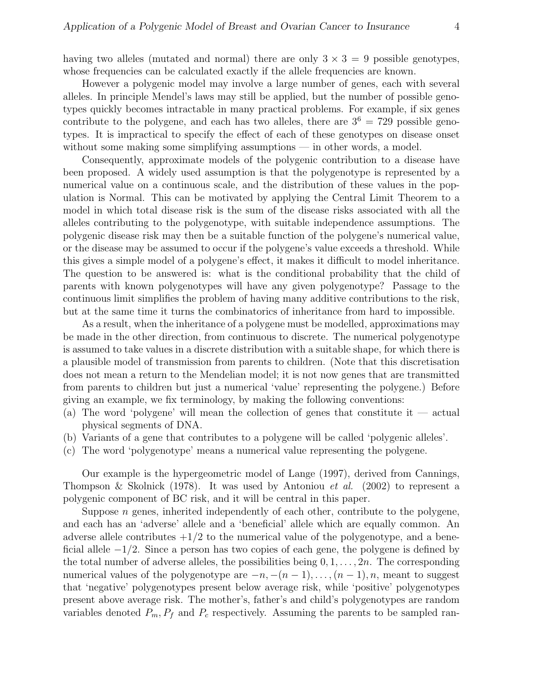having two alleles (mutated and normal) there are only  $3 \times 3 = 9$  possible genotypes, whose frequencies can be calculated exactly if the allele frequencies are known.

However a polygenic model may involve a large number of genes, each with several alleles. In principle Mendel's laws may still be applied, but the number of possible genotypes quickly becomes intractable in many practical problems. For example, if six genes contribute to the polygene, and each has two alleles, there are  $3^6 = 729$  possible genotypes. It is impractical to specify the effect of each of these genotypes on disease onset without some making some simplifying assumptions — in other words, a model.

Consequently, approximate models of the polygenic contribution to a disease have been proposed. A widely used assumption is that the polygenotype is represented by a numerical value on a continuous scale, and the distribution of these values in the population is Normal. This can be motivated by applying the Central Limit Theorem to a model in which total disease risk is the sum of the disease risks associated with all the alleles contributing to the polygenotype, with suitable independence assumptions. The polygenic disease risk may then be a suitable function of the polygene's numerical value, or the disease may be assumed to occur if the polygene's value exceeds a threshold. While this gives a simple model of a polygene's effect, it makes it difficult to model inheritance. The question to be answered is: what is the conditional probability that the child of parents with known polygenotypes will have any given polygenotype? Passage to the continuous limit simplifies the problem of having many additive contributions to the risk, but at the same time it turns the combinatorics of inheritance from hard to impossible.

As a result, when the inheritance of a polygene must be modelled, approximations may be made in the other direction, from continuous to discrete. The numerical polygenotype is assumed to take values in a discrete distribution with a suitable shape, for which there is a plausible model of transmission from parents to children. (Note that this discretisation does not mean a return to the Mendelian model; it is not now genes that are transmitted from parents to children but just a numerical 'value' representing the polygene.) Before giving an example, we fix terminology, by making the following conventions:

- (a) The word 'polygene' will mean the collection of genes that constitute it actual physical segments of DNA.
- (b) Variants of a gene that contributes to a polygene will be called 'polygenic alleles'.
- (c) The word 'polygenotype' means a numerical value representing the polygene.

Our example is the hypergeometric model of Lange (1997), derived from Cannings, Thompson & Skolnick (1978). It was used by Antoniou *et al.* (2002) to represent a polygenic component of BC risk, and it will be central in this paper.

Suppose  $n$  genes, inherited independently of each other, contribute to the polygene, and each has an 'adverse' allele and a 'beneficial' allele which are equally common. An adverse allele contributes  $+1/2$  to the numerical value of the polygenotype, and a beneficial allele  $-1/2$ . Since a person has two copies of each gene, the polygene is defined by the total number of adverse alleles, the possibilities being  $0, 1, \ldots, 2n$ . The corresponding numerical values of the polygenotype are  $-n, -(n-1), \ldots, (n-1), n$ , meant to suggest that 'negative' polygenotypes present below average risk, while 'positive' polygenotypes present above average risk. The mother's, father's and child's polygenotypes are random variables denoted  $P_m$ ,  $P_f$  and  $P_c$  respectively. Assuming the parents to be sampled ran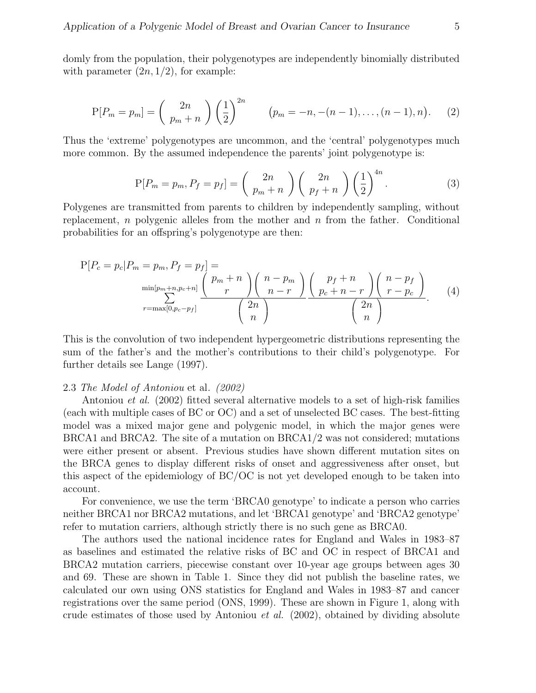domly from the population, their polygenotypes are independently binomially distributed with parameter  $(2n, 1/2)$ , for example:

$$
P[P_m = p_m] = {2n \choose p_m + n} \left(\frac{1}{2}\right)^{2n} \qquad (p_m = -n, -(n-1), \dots, (n-1), n). \tag{2}
$$

Thus the 'extreme' polygenotypes are uncommon, and the 'central' polygenotypes much more common. By the assumed independence the parents' joint polygenotype is:

$$
P[P_m = p_m, P_f = p_f] = \binom{2n}{p_m + n} \binom{2n}{p_f + n} \left(\frac{1}{2}\right)^{4n}.
$$
 (3)

Polygenes are transmitted from parents to children by independently sampling, without replacement, n polygenic alleles from the mother and  $n$  from the father. Conditional probabilities for an offspring's polygenotype are then:

$$
P[P_c = p_c | P_m = p_m, P_f = p_f] = \min_{\substack{p_m = n, p_c + n] \\ r = \max[0, p_c - p_f]} \frac{\binom{p_m + n}{m + n} \binom{n - p_m}{r}}{\binom{2n}{n}} \frac{\binom{p_f + n}{p_c + n - r} \binom{n - p_f}{r - p_c}}{\binom{2n}{n}}.
$$
(4)

This is the convolution of two independent hypergeometric distributions representing the sum of the father's and the mother's contributions to their child's polygenotype. For further details see Lange (1997).

### 2.3 The Model of Antoniou et al. (2002)

Antoniou et al. (2002) fitted several alternative models to a set of high-risk families (each with multiple cases of BC or OC) and a set of unselected BC cases. The best-fitting model was a mixed major gene and polygenic model, in which the major genes were BRCA1 and BRCA2. The site of a mutation on BRCA1/2 was not considered; mutations were either present or absent. Previous studies have shown different mutation sites on the BRCA genes to display different risks of onset and aggressiveness after onset, but this aspect of the epidemiology of BC/OC is not yet developed enough to be taken into account.

For convenience, we use the term 'BRCA0 genotype' to indicate a person who carries neither BRCA1 nor BRCA2 mutations, and let 'BRCA1 genotype' and 'BRCA2 genotype' refer to mutation carriers, although strictly there is no such gene as BRCA0.

The authors used the national incidence rates for England and Wales in 1983–87 as baselines and estimated the relative risks of BC and OC in respect of BRCA1 and BRCA2 mutation carriers, piecewise constant over 10-year age groups between ages 30 and 69. These are shown in Table 1. Since they did not publish the baseline rates, we calculated our own using ONS statistics for England and Wales in 1983–87 and cancer registrations over the same period (ONS, 1999). These are shown in Figure 1, along with crude estimates of those used by Antoniou et al. (2002), obtained by dividing absolute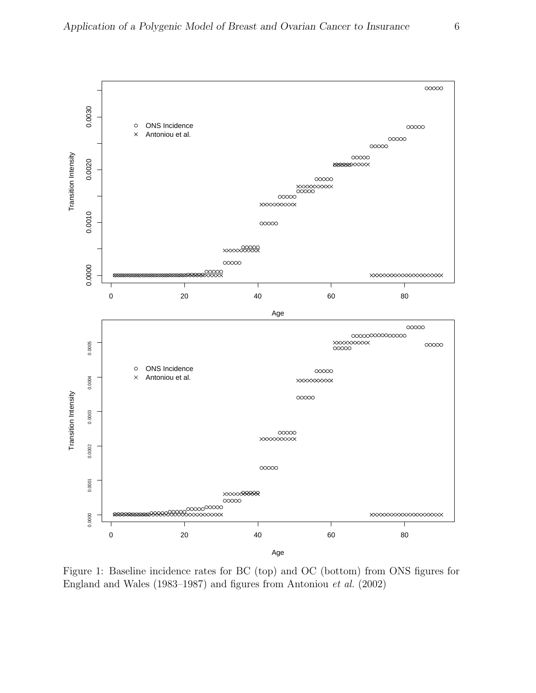

Figure 1: Baseline incidence rates for BC (top) and OC (bottom) from ONS figures for England and Wales (1983–1987) and figures from Antoniou et al. (2002)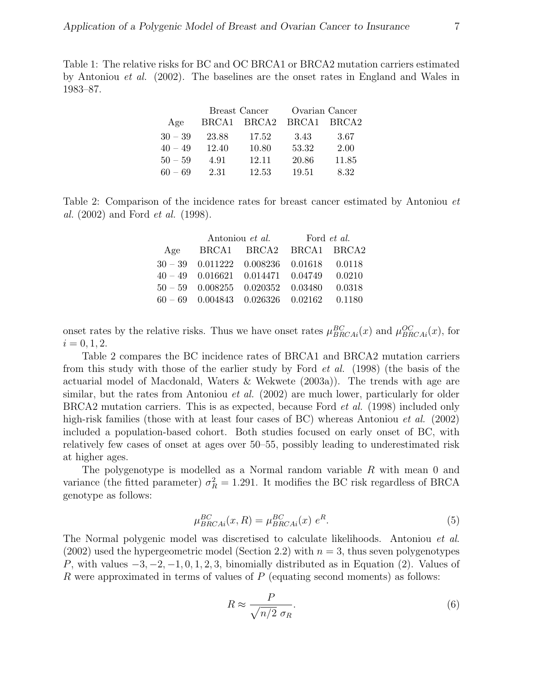Table 1: The relative risks for BC and OC BRCA1 or BRCA2 mutation carriers estimated by Antoniou et al. (2002). The baselines are the onset rates in England and Wales in 1983–87.

|           |       | Breast Cancer     | Ovarian Cancer |                   |  |  |
|-----------|-------|-------------------|----------------|-------------------|--|--|
| Age       | BRCA1 | BRCA <sub>2</sub> | BRCA1          | BRCA <sub>2</sub> |  |  |
| $30 - 39$ | 23.88 | 17.52             | 3.43           | 3.67              |  |  |
| $40 - 49$ | 12.40 | 10.80             | 53.32          | 2.00              |  |  |
| $50 - 59$ | 4.91  | 12.11             | 20.86          | 11.85             |  |  |
| $60 - 69$ | 2.31  | 12.53             | 19.51          | 8.32              |  |  |

Table 2: Comparison of the incidence rates for breast cancer estimated by Antoniou et al. (2002) and Ford et al. (1998).

|     | Antoniou <i>et al.</i>                             | Ford <i>et al.</i> |  |  |  |
|-----|----------------------------------------------------|--------------------|--|--|--|
| Age | BRCA1 BRCA2 BRCA1 BRCA2                            |                    |  |  |  |
|     | $30 - 39$ 0.011222 0.008236 0.01618 0.0118         |                    |  |  |  |
|     | $40 - 49$ 0.016621 0.014471 0.04749 0.0210         |                    |  |  |  |
|     | $50 - 59$ $0.008255$ $0.020352$ $0.03480$ $0.0318$ |                    |  |  |  |
|     | $60 - 69$ 0.004843 0.026326 0.02162 0.1180         |                    |  |  |  |

onset rates by the relative risks. Thus we have onset rates  $\mu_{BRCAi}^{BC}(x)$  and  $\mu_{BRCAi}^{OC}(x)$ , for  $i = 0, 1, 2.$ 

Table 2 compares the BC incidence rates of BRCA1 and BRCA2 mutation carriers from this study with those of the earlier study by Ford et al. (1998) (the basis of the actuarial model of Macdonald, Waters & Wekwete (2003a)). The trends with age are similar, but the rates from Antoniou *et al.* (2002) are much lower, particularly for older BRCA2 mutation carriers. This is as expected, because Ford *et al.* (1998) included only high-risk families (those with at least four cases of BC) whereas Antoniou *et al.* (2002) included a population-based cohort. Both studies focused on early onset of BC, with relatively few cases of onset at ages over 50–55, possibly leading to underestimated risk at higher ages.

The polygenotype is modelled as a Normal random variable  $R$  with mean 0 and variance (the fitted parameter)  $\sigma_R^2 = 1.291$ . It modifies the BC risk regardless of BRCA genotype as follows:

$$
\mu_{BRCAi}^{BC}(x,R) = \mu_{BRCAi}^{BC}(x) e^R.
$$
\n(5)

The Normal polygenic model was discretised to calculate likelihoods. Antoniou et al.  $(2002)$  used the hypergeometric model (Section 2.2) with  $n = 3$ , thus seven polygenotypes P, with values  $-3, -2, -1, 0, 1, 2, 3$ , binomially distributed as in Equation (2). Values of R were approximated in terms of values of  $P$  (equating second moments) as follows:

$$
R \approx \frac{P}{\sqrt{n/2} \sigma_R}.\tag{6}
$$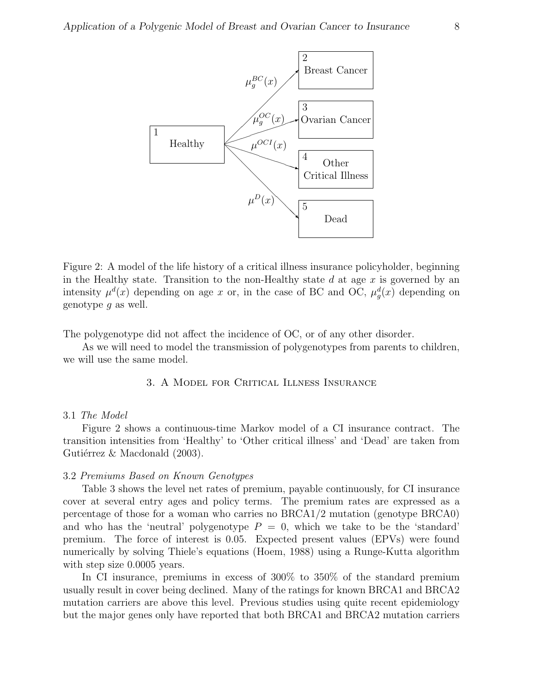

Figure 2: A model of the life history of a critical illness insurance policyholder, beginning in the Healthy state. Transition to the non-Healthy state d at age  $x$  is governed by an intensity  $\mu^{d}(x)$  depending on age x or, in the case of BC and OC,  $\mu_{g}^{d}(x)$  depending on genotype g as well.

The polygenotype did not affect the incidence of OC, or of any other disorder.

As we will need to model the transmission of polygenotypes from parents to children, we will use the same model.

3. A Model for Critical Illness Insurance

# 3.1 The Model

Figure 2 shows a continuous-time Markov model of a CI insurance contract. The transition intensities from 'Healthy' to 'Other critical illness' and 'Dead' are taken from Gutiérrez & Macdonald  $(2003)$ .

### 3.2 Premiums Based on Known Genotypes

Table 3 shows the level net rates of premium, payable continuously, for CI insurance cover at several entry ages and policy terms. The premium rates are expressed as a percentage of those for a woman who carries no BRCA1/2 mutation (genotype BRCA0) and who has the 'neutral' polygenotype  $P = 0$ , which we take to be the 'standard' premium. The force of interest is 0.05. Expected present values (EPVs) were found numerically by solving Thiele's equations (Hoem, 1988) using a Runge-Kutta algorithm with step size 0.0005 years.

In CI insurance, premiums in excess of 300% to 350% of the standard premium usually result in cover being declined. Many of the ratings for known BRCA1 and BRCA2 mutation carriers are above this level. Previous studies using quite recent epidemiology but the major genes only have reported that both BRCA1 and BRCA2 mutation carriers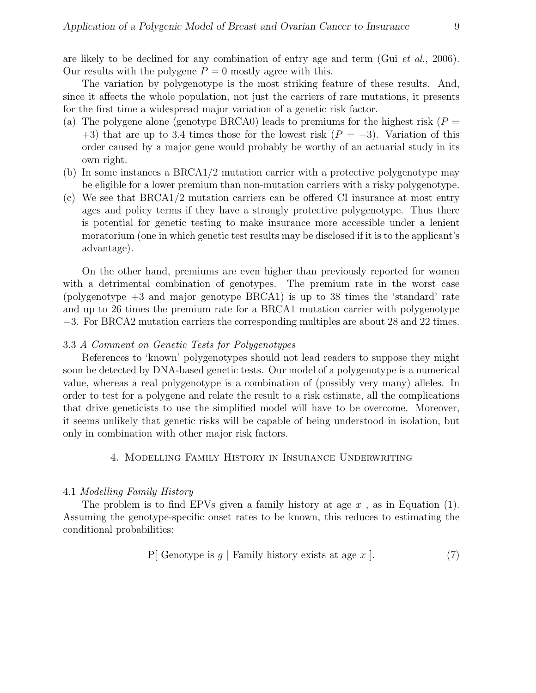The variation by polygenotype is the most striking feature of these results. And, since it affects the whole population, not just the carriers of rare mutations, it presents for the first time a widespread major variation of a genetic risk factor.

- (a) The polygene alone (genotype BRCA0) leads to premiums for the highest risk ( $P =$ +3) that are up to 3.4 times those for the lowest risk  $(P = -3)$ . Variation of this order caused by a major gene would probably be worthy of an actuarial study in its own right.
- (b) In some instances a BRCA1/2 mutation carrier with a protective polygenotype may be eligible for a lower premium than non-mutation carriers with a risky polygenotype.
- (c) We see that BRCA1/2 mutation carriers can be offered CI insurance at most entry ages and policy terms if they have a strongly protective polygenotype. Thus there is potential for genetic testing to make insurance more accessible under a lenient moratorium (one in which genetic test results may be disclosed if it is to the applicant's advantage).

On the other hand, premiums are even higher than previously reported for women with a detrimental combination of genotypes. The premium rate in the worst case (polygenotype +3 and major genotype BRCA1) is up to 38 times the 'standard' rate and up to 26 times the premium rate for a BRCA1 mutation carrier with polygenotype −3. For BRCA2 mutation carriers the corresponding multiples are about 28 and 22 times.

# 3.3 A Comment on Genetic Tests for Polygenotypes

References to 'known' polygenotypes should not lead readers to suppose they might soon be detected by DNA-based genetic tests. Our model of a polygenotype is a numerical value, whereas a real polygenotype is a combination of (possibly very many) alleles. In order to test for a polygene and relate the result to a risk estimate, all the complications that drive geneticists to use the simplified model will have to be overcome. Moreover, it seems unlikely that genetic risks will be capable of being understood in isolation, but only in combination with other major risk factors.

# 4. Modelling Family History in Insurance Underwriting

# 4.1 Modelling Family History

The problem is to find EPVs given a family history at age  $x$ , as in Equation (1). Assuming the genotype-specific onset rates to be known, this reduces to estimating the conditional probabilities:

$$
P[Genotype is g | Family history exists at age x ]. \t(7)
$$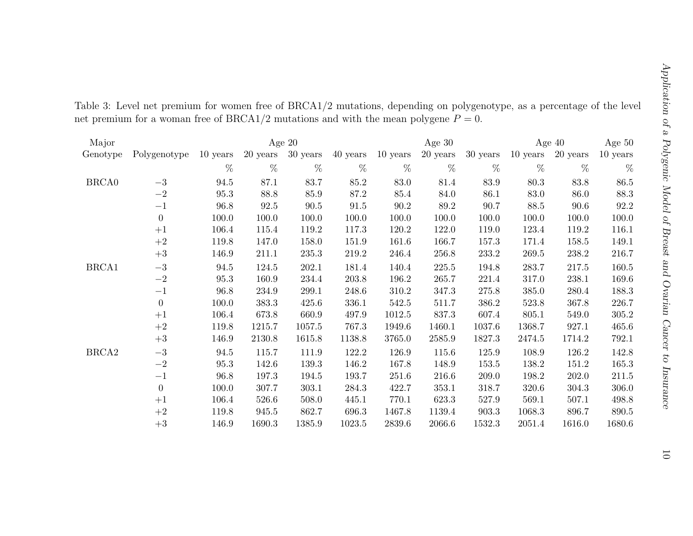| Major             |                  |          | Age $20$ |            |          |          | Age $30$ |          | Age $40$ |          | Age $50$ |
|-------------------|------------------|----------|----------|------------|----------|----------|----------|----------|----------|----------|----------|
| Genotype          | Polygenotype     | 10 years | 20 years | $30$ years | 40 years | 10 years | 20 years | 30 years | 10 years | 20 years | 10 years |
|                   |                  | %        | %        | %          | %        | %        | %        | %        | $\%$     | %        | %        |
| BRCA0             | $-3$             | 94.5     | 87.1     | 83.7       | 85.2     | 83.0     | 81.4     | 83.9     | 80.3     | 83.8     | 86.5     |
|                   | $-2$             | 95.3     | 88.8     | 85.9       | 87.2     | 85.4     | 84.0     | 86.1     | 83.0     | 86.0     | 88.3     |
|                   | $-1$             | 96.8     | 92.5     | $90.5\,$   | 91.5     | 90.2     | 89.2     | 90.7     | 88.5     | 90.6     | 92.2     |
|                   | $\boldsymbol{0}$ | 100.0    | 100.0    | 100.0      | 100.0    | 100.0    | 100.0    | 100.0    | 100.0    | 100.0    | 100.0    |
|                   | $+1$             | 106.4    | 115.4    | 119.2      | 117.3    | 120.2    | 122.0    | 119.0    | 123.4    | 119.2    | 116.1    |
|                   | $+2$             | 119.8    | 147.0    | 158.0      | 151.9    | 161.6    | 166.7    | 157.3    | 171.4    | 158.5    | 149.1    |
|                   | $+3$             | 146.9    | 211.1    | 235.3      | 219.2    | 246.4    | 256.8    | 233.2    | 269.5    | 238.2    | 216.7    |
| BRCA1             | $-3$             | 94.5     | 124.5    | 202.1      | 181.4    | 140.4    | 225.5    | 194.8    | 283.7    | 217.5    | 160.5    |
|                   | $-2$             | 95.3     | 160.9    | 234.4      | 203.8    | 196.2    | 265.7    | 221.4    | 317.0    | 238.1    | 169.6    |
|                   | $-1$             | 96.8     | 234.9    | 299.1      | 248.6    | 310.2    | 347.3    | 275.8    | 385.0    | 280.4    | 188.3    |
|                   | $\boldsymbol{0}$ | 100.0    | 383.3    | 425.6      | 336.1    | 542.5    | 511.7    | 386.2    | 523.8    | 367.8    | 226.7    |
|                   | $+1$             | 106.4    | 673.8    | 660.9      | 497.9    | 1012.5   | 837.3    | 607.4    | 805.1    | 549.0    | 305.2    |
|                   | $+2$             | 119.8    | 1215.7   | 1057.5     | 767.3    | 1949.6   | 1460.1   | 1037.6   | 1368.7   | 927.1    | 465.6    |
|                   | $+3$             | 146.9    | 2130.8   | 1615.8     | 1138.8   | 3765.0   | 2585.9   | 1827.3   | 2474.5   | 1714.2   | 792.1    |
| BRCA <sub>2</sub> | $-3$             | 94.5     | 115.7    | 111.9      | 122.2    | 126.9    | 115.6    | 125.9    | 108.9    | 126.2    | 142.8    |
|                   | $-2$             | 95.3     | 142.6    | 139.3      | 146.2    | 167.8    | 148.9    | 153.5    | 138.2    | 151.2    | 165.3    |
|                   | $-1$             | 96.8     | 197.3    | 194.5      | 193.7    | 251.6    | 216.6    | 209.0    | 198.2    | 202.0    | 211.5    |
|                   | $\boldsymbol{0}$ | 100.0    | 307.7    | 303.1      | 284.3    | 422.7    | 353.1    | 318.7    | 320.6    | 304.3    | 306.0    |
|                   | $+1$             | 106.4    | 526.6    | 508.0      | 445.1    | 770.1    | 623.3    | 527.9    | 569.1    | 507.1    | 498.8    |
|                   | $+2$             | 119.8    | 945.5    | 862.7      | 696.3    | 1467.8   | 1139.4   | 903.3    | 1068.3   | 896.7    | 890.5    |
|                   | $+3$             | 146.9    | 1690.3   | 1385.9     | 1023.5   | 2839.6   | 2066.6   | 1532.3   | 2051.4   | 1616.0   | 1680.6   |

Table 3: Level net premium for women free of BRCA1/2 mutations, depending on polygenotype, as <sup>a</sup> percentage of the level net premium for a woman free of BRCA1/2 mutations and with the mean polygene  $P = 0$ .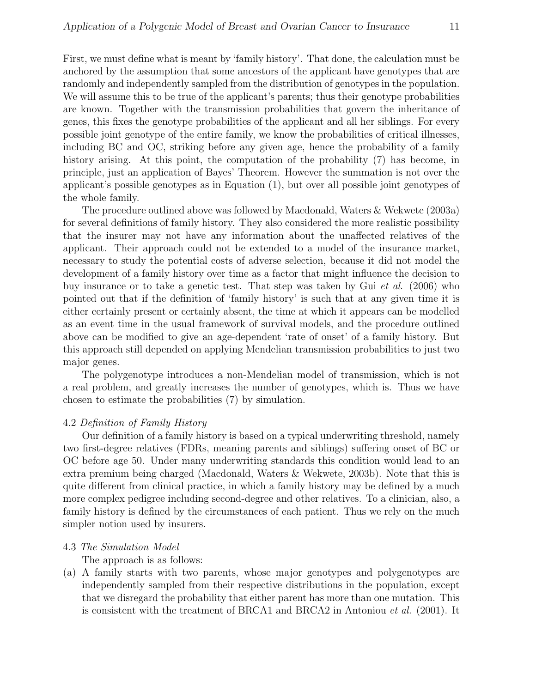First, we must define what is meant by 'family history'. That done, the calculation must be anchored by the assumption that some ancestors of the applicant have genotypes that are randomly and independently sampled from the distribution of genotypes in the population. We will assume this to be true of the applicant's parents; thus their genotype probabilities are known. Together with the transmission probabilities that govern the inheritance of genes, this fixes the genotype probabilities of the applicant and all her siblings. For every possible joint genotype of the entire family, we know the probabilities of critical illnesses, including BC and OC, striking before any given age, hence the probability of a family history arising. At this point, the computation of the probability (7) has become, in principle, just an application of Bayes' Theorem. However the summation is not over the applicant's possible genotypes as in Equation (1), but over all possible joint genotypes of the whole family.

The procedure outlined above was followed by Macdonald, Waters & Wekwete (2003a) for several definitions of family history. They also considered the more realistic possibility that the insurer may not have any information about the unaffected relatives of the applicant. Their approach could not be extended to a model of the insurance market, necessary to study the potential costs of adverse selection, because it did not model the development of a family history over time as a factor that might influence the decision to buy insurance or to take a genetic test. That step was taken by Gui et al. (2006) who pointed out that if the definition of 'family history' is such that at any given time it is either certainly present or certainly absent, the time at which it appears can be modelled as an event time in the usual framework of survival models, and the procedure outlined above can be modified to give an age-dependent 'rate of onset' of a family history. But this approach still depended on applying Mendelian transmission probabilities to just two major genes.

The polygenotype introduces a non-Mendelian model of transmission, which is not a real problem, and greatly increases the number of genotypes, which is. Thus we have chosen to estimate the probabilities (7) by simulation.

# 4.2 Definition of Family History

Our definition of a family history is based on a typical underwriting threshold, namely two first-degree relatives (FDRs, meaning parents and siblings) suffering onset of BC or OC before age 50. Under many underwriting standards this condition would lead to an extra premium being charged (Macdonald, Waters & Wekwete, 2003b). Note that this is quite different from clinical practice, in which a family history may be defined by a much more complex pedigree including second-degree and other relatives. To a clinician, also, a family history is defined by the circumstances of each patient. Thus we rely on the much simpler notion used by insurers.

# 4.3 The Simulation Model

The approach is as follows:

(a) A family starts with two parents, whose major genotypes and polygenotypes are independently sampled from their respective distributions in the population, except that we disregard the probability that either parent has more than one mutation. This is consistent with the treatment of BRCA1 and BRCA2 in Antoniou et al. (2001). It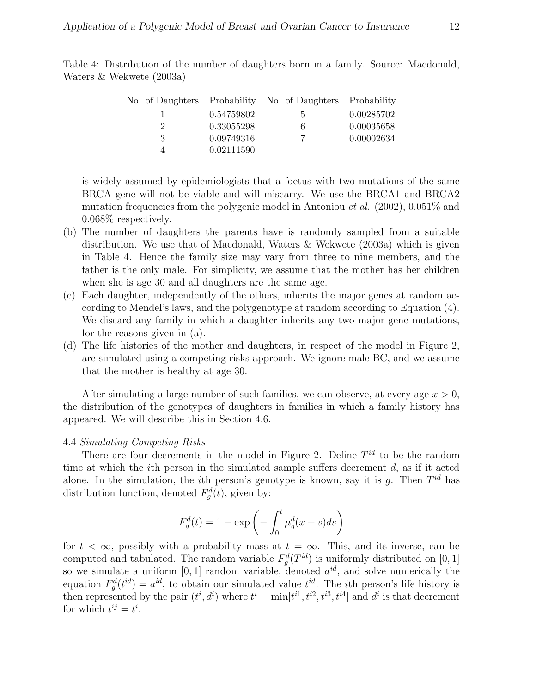Table 4: Distribution of the number of daughters born in a family. Source: Macdonald, Waters & Wekwete (2003a)

|   |            | No. of Daughters Probability No. of Daughters Probability |            |
|---|------------|-----------------------------------------------------------|------------|
|   | 0.54759802 | 5.                                                        | 0.00285702 |
|   | 0.33055298 | 6                                                         | 0.00035658 |
| 3 | 0.09749316 | 7                                                         | 0.00002634 |
|   | 0.02111590 |                                                           |            |

is widely assumed by epidemiologists that a foetus with two mutations of the same BRCA gene will not be viable and will miscarry. We use the BRCA1 and BRCA2 mutation frequencies from the polygenic model in Antoniou *et al.* (2002), 0.051\% and 0.068% respectively.

- (b) The number of daughters the parents have is randomly sampled from a suitable distribution. We use that of Macdonald, Waters & Wekwete (2003a) which is given in Table 4. Hence the family size may vary from three to nine members, and the father is the only male. For simplicity, we assume that the mother has her children when she is age 30 and all daughters are the same age.
- (c) Each daughter, independently of the others, inherits the major genes at random according to Mendel's laws, and the polygenotype at random according to Equation (4). We discard any family in which a daughter inherits any two major gene mutations, for the reasons given in (a).
- (d) The life histories of the mother and daughters, in respect of the model in Figure 2, are simulated using a competing risks approach. We ignore male BC, and we assume that the mother is healthy at age 30.

After simulating a large number of such families, we can observe, at every age  $x > 0$ , the distribution of the genotypes of daughters in families in which a family history has appeared. We will describe this in Section 4.6.

# 4.4 Simulating Competing Risks

There are four decrements in the model in Figure 2. Define  $T^{id}$  to be the random time at which the ith person in the simulated sample suffers decrement d, as if it acted alone. In the simulation, the *i*th person's genotype is known, say it is  $g$ . Then  $T^{id}$  has distribution function, denoted  $F_g^d(t)$ , given by:

$$
F_g^d(t) = 1 - \exp\left(-\int_0^t \mu_g^d(x+s)ds\right)
$$

for  $t < \infty$ , possibly with a probability mass at  $t = \infty$ . This, and its inverse, can be computed and tabulated. The random variable  $F_g^d(T^{id})$  is uniformly distributed on [0, 1] so we simulate a uniform  $[0, 1]$  random variable, denoted  $a^{id}$ , and solve numerically the equation  $F_g^d(t^{id}) = a^{id}$ , to obtain our simulated value  $t^{id}$ . The *i*th person's life history is then represented by the pair  $(t^i, d^i)$  where  $t^i = \min[t^{i1}, t^{i2}, t^{i3}, t^{i4}]$  and  $d^i$  is that decrement for which  $t^{ij} = t^i$ .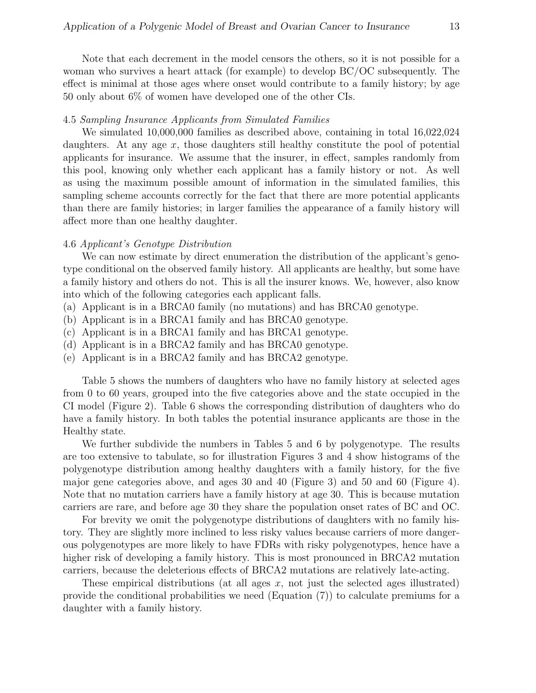Note that each decrement in the model censors the others, so it is not possible for a woman who survives a heart attack (for example) to develop BC/OC subsequently. The effect is minimal at those ages where onset would contribute to a family history; by age 50 only about 6% of women have developed one of the other CIs.

# 4.5 Sampling Insurance Applicants from Simulated Families

We simulated 10,000,000 families as described above, containing in total 16,022,024 daughters. At any age  $x$ , those daughters still healthy constitute the pool of potential applicants for insurance. We assume that the insurer, in effect, samples randomly from this pool, knowing only whether each applicant has a family history or not. As well as using the maximum possible amount of information in the simulated families, this sampling scheme accounts correctly for the fact that there are more potential applicants than there are family histories; in larger families the appearance of a family history will affect more than one healthy daughter.

# 4.6 Applicant's Genotype Distribution

We can now estimate by direct enumeration the distribution of the applicant's genotype conditional on the observed family history. All applicants are healthy, but some have a family history and others do not. This is all the insurer knows. We, however, also know into which of the following categories each applicant falls.

- (a) Applicant is in a BRCA0 family (no mutations) and has BRCA0 genotype.
- (b) Applicant is in a BRCA1 family and has BRCA0 genotype.
- (c) Applicant is in a BRCA1 family and has BRCA1 genotype.
- (d) Applicant is in a BRCA2 family and has BRCA0 genotype.
- (e) Applicant is in a BRCA2 family and has BRCA2 genotype.

Table 5 shows the numbers of daughters who have no family history at selected ages from 0 to 60 years, grouped into the five categories above and the state occupied in the CI model (Figure 2). Table 6 shows the corresponding distribution of daughters who do have a family history. In both tables the potential insurance applicants are those in the Healthy state.

We further subdivide the numbers in Tables 5 and 6 by polygenotype. The results are too extensive to tabulate, so for illustration Figures 3 and 4 show histograms of the polygenotype distribution among healthy daughters with a family history, for the five major gene categories above, and ages 30 and 40 (Figure 3) and 50 and 60 (Figure 4). Note that no mutation carriers have a family history at age 30. This is because mutation carriers are rare, and before age 30 they share the population onset rates of BC and OC.

For brevity we omit the polygenotype distributions of daughters with no family history. They are slightly more inclined to less risky values because carriers of more dangerous polygenotypes are more likely to have FDRs with risky polygenotypes, hence have a higher risk of developing a family history. This is most pronounced in BRCA2 mutation carriers, because the deleterious effects of BRCA2 mutations are relatively late-acting.

These empirical distributions (at all ages  $x$ , not just the selected ages illustrated) provide the conditional probabilities we need (Equation (7)) to calculate premiums for a daughter with a family history.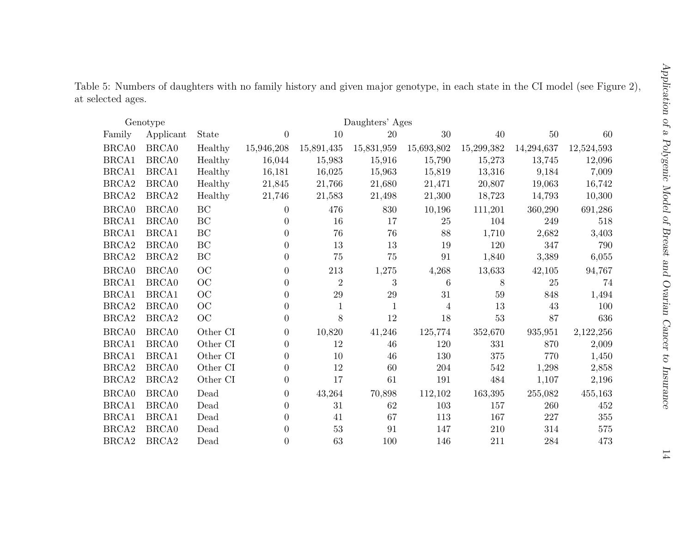|                   | Table 5: Numbers of daughters with no family history and given major genotype, in each state in the CI model (see Figure 2), |  |  |  |  |  |  |  |  |
|-------------------|------------------------------------------------------------------------------------------------------------------------------|--|--|--|--|--|--|--|--|
| at selected ages. |                                                                                                                              |  |  |  |  |  |  |  |  |

|                   | Genotype          | Daughters' Ages     |                |                |              |                |            |            |            |
|-------------------|-------------------|---------------------|----------------|----------------|--------------|----------------|------------|------------|------------|
| Family            | Applicant         | State               | $\overline{0}$ | 10             | 20           | 30             | 40         | $50\,$     | 60         |
| <b>BRCA0</b>      | <b>BRCA0</b>      | Healthy             | 15,946,208     | 15,891,435     | 15,831,959   | 15,693,802     | 15,299,382 | 14,294,637 | 12,524,593 |
| BRCA1             | BRCA0             | Healthy             | 16,044         | 15,983         | 15,916       | 15,790         | 15,273     | 13,745     | 12,096     |
| BRCA1             | BRCA1             | Healthy             | 16,181         | 16,025         | 15,963       | 15,819         | 13,316     | 9,184      | 7,009      |
| BRCA <sub>2</sub> | <b>BRCA0</b>      | Healthy             | 21,845         | 21,766         | 21,680       | 21,471         | 20,807     | 19,063     | 16,742     |
| BRCA <sub>2</sub> | BRCA <sub>2</sub> | Healthy             | 21,746         | 21,583         | 21,498       | 21,300         | 18,723     | 14,793     | 10,300     |
| BRCA0             | <b>BRCA0</b>      | BC                  | $\Omega$       | 476            | 830          | 10,196         | 111,201    | 360,290    | 691,286    |
| BRCA1             | BRCA0             | BC                  | $\Omega$       | 16             | 17           | 25             | 104        | 249        | 518        |
| BRCA1             | BRCA1             | BC                  | $\Omega$       | 76             | 76           | 88             | 1,710      | 2,682      | 3,403      |
| BRCA <sub>2</sub> | <b>BRCA0</b>      | BC                  | $\Omega$       | 13             | 13           | 19             | 120        | 347        | 790        |
| $\rm BRCA2$       | BRCA <sub>2</sub> | $\operatorname{BC}$ | $\theta$       | 75             | 75           | 91             | 1,840      | 3,389      | 6,055      |
| BRCA0             | <b>BRCA0</b>      | OC                  | $\theta$       | 213            | 1,275        | 4,268          | 13,633     | 42,105     | 94,767     |
| BRCA1             | <b>BRCA0</b>      | OC                  | $\Omega$       | $\overline{2}$ | 3            | 6              | 8          | 25         | 74         |
| BRCA1             | BRCA1             | OC                  | $\Omega$       | 29             | 29           | 31             | 59         | 848        | 1,494      |
| BRCA <sub>2</sub> | BRCA0             | OC                  | $\theta$       | $\mathbf{1}$   | $\mathbf{1}$ | $\overline{4}$ | 13         | 43         | 100        |
| BRCA <sub>2</sub> | BRCA <sub>2</sub> | OC                  | $\theta$       | 8              | 12           | 18             | $53\,$     | 87         | 636        |
| BRCA0             | BRCA0             | Other CI            | $\overline{0}$ | 10,820         | 41,246       | 125,774        | 352,670    | 935,951    | 2,122,256  |
| BRCA1             | <b>BRCA0</b>      | Other CI            | $\theta$       | 12             | 46           | 120            | 331        | 870        | 2,009      |
| BRCA1             | BRCA1             | Other CI            | $\Omega$       | 10             | 46           | 130            | 375        | 770        | 1,450      |
| BRCA <sub>2</sub> | BRCA0             | Other CI            | $\overline{0}$ | 12             | 60           | 204            | 542        | 1,298      | 2,858      |
| BRCA <sub>2</sub> | BRCA <sub>2</sub> | Other CI            | $\overline{0}$ | 17             | 61           | 191            | 484        | 1,107      | 2,196      |
| BRCA0             | BRCA0             | Dead                | $\overline{0}$ | 43,264         | 70,898       | 112,102        | 163,395    | 255,082    | 455,163    |
| BRCA1             | <b>BRCA0</b>      | Dead                | $\overline{0}$ | 31             | 62           | 103            | 157        | 260        | 452        |
| BRCA1             | BRCA1             | Dead                | $\Omega$       | 41             | 67           | 113            | 167        | 227        | 355        |
| BRCA <sub>2</sub> | <b>BRCA0</b>      | Dead                | 0              | 53             | 91           | 147            | 210        | 314        | 575        |
| BRCA <sub>2</sub> | BRCA <sub>2</sub> | Dead                | $\overline{0}$ | 63             | 100          | 146            | 211        | 284        | 473        |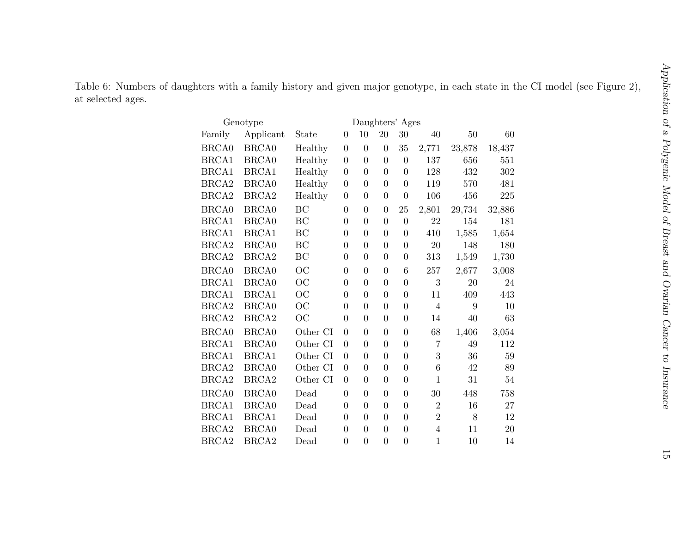Table 6: Numbers of daughters with <sup>a</sup> family history and <sup>g</sup>iven major genotype, in each state in the CI model (see Figure 2), at selected ages.

|                   | Genotype          | Daughters' Ages |                  |                |                |                  |                |        |        |
|-------------------|-------------------|-----------------|------------------|----------------|----------------|------------------|----------------|--------|--------|
| Family            | Applicant         | State           | $\boldsymbol{0}$ | 10             | 20             | 30               | 40             | 50     | 60     |
| <b>BRCA0</b>      | <b>BRCA0</b>      | Healthy         | $\overline{0}$   | $\overline{0}$ | $\overline{0}$ | 35               | 2,771          | 23,878 | 18,437 |
| BRCA1             | <b>BRCA0</b>      | Healthy         | $\overline{0}$   | $\overline{0}$ | $\theta$       | $\overline{0}$   | 137            | 656    | 551    |
| BRCA1             | BRCA1             | Healthy         | $\overline{0}$   | $\overline{0}$ | $\overline{0}$ | $\overline{0}$   | 128            | 432    | 302    |
| BRCA <sub>2</sub> | <b>BRCA0</b>      | Healthy         | $\boldsymbol{0}$ | $\overline{0}$ | $\overline{0}$ | $\boldsymbol{0}$ | 119            | 570    | 481    |
| BRCA <sub>2</sub> | BRCA <sub>2</sub> | Healthy         | $\boldsymbol{0}$ | $\overline{0}$ | $\overline{0}$ | $\overline{0}$   | 106            | 456    | 225    |
| BRCA0             | <b>BRCA0</b>      | BC              | $\boldsymbol{0}$ | $\overline{0}$ | $\overline{0}$ | 25               | 2,801          | 29,734 | 32,886 |
| BRCA1             | <b>BRCA0</b>      | BC              | $\overline{0}$   | $\overline{0}$ | $\overline{0}$ | $\boldsymbol{0}$ | 22             | 154    | 181    |
| BRCA1             | BRCA1             | BC              | $\overline{0}$   | $\overline{0}$ | $\overline{0}$ | $\boldsymbol{0}$ | 410            | 1,585  | 1,654  |
| BRCA <sub>2</sub> | <b>BRCA0</b>      | BC              | $\overline{0}$   | $\overline{0}$ | $\theta$       | $\boldsymbol{0}$ | 20             | 148    | 180    |
| BRCA <sub>2</sub> | BRCA <sub>2</sub> | BC              | $\overline{0}$   | $\overline{0}$ | $\overline{0}$ | $\boldsymbol{0}$ | 313            | 1,549  | 1,730  |
| <b>BRCA0</b>      | <b>BRCA0</b>      | OC              | $\overline{0}$   | $\overline{0}$ | $\overline{0}$ | $\boldsymbol{6}$ | 257            | 2,677  | 3,008  |
| BRCA1             | <b>BRCA0</b>      | OC              | $\overline{0}$   | $\overline{0}$ | $\overline{0}$ | $\overline{0}$   | 3              | $20\,$ | 24     |
| BRCA1             | BRCA1             | OC              | $\overline{0}$   | $\overline{0}$ | $\overline{0}$ | $\boldsymbol{0}$ | 11             | 409    | 443    |
| BRCA <sub>2</sub> | BRCA0             | OC              | $\boldsymbol{0}$ | $\overline{0}$ | $\overline{0}$ | $\boldsymbol{0}$ | $\overline{4}$ | 9      | 10     |
| BRCA <sub>2</sub> | BRCA <sub>2</sub> | OC              | $\overline{0}$   | $\overline{0}$ | $\overline{0}$ | $\overline{0}$   | 14             | 40     | 63     |
| <b>BRCA0</b>      | <b>BRCA0</b>      | Other CI        | $\overline{0}$   | $\overline{0}$ | $\overline{0}$ | $\boldsymbol{0}$ | $68\,$         | 1,406  | 3,054  |
| BRCA1             | <b>BRCA0</b>      | Other CI        | $\overline{0}$   | $\overline{0}$ | $\overline{0}$ | $\overline{0}$   | $\overline{7}$ | 49     | 112    |
| BRCA1             | BRCA1             | Other CI        | $\theta$         | $\theta$       | $\overline{0}$ | $\overline{0}$   | 3              | 36     | 59     |
| BRCA <sub>2</sub> | <b>BRCA0</b>      | Other CI        | $\overline{0}$   | $\overline{0}$ | $\overline{0}$ | $\overline{0}$   | 6              | 42     | 89     |
| BRCA <sub>2</sub> | BRCA <sub>2</sub> | Other CI        | $\overline{0}$   | $\overline{0}$ | $\overline{0}$ | $\overline{0}$   | $\mathbf{1}$   | 31     | 54     |
| <b>BRCA0</b>      | <b>BRCA0</b>      | Dead            | $\overline{0}$   | $\overline{0}$ | $\overline{0}$ | $\boldsymbol{0}$ | 30             | 448    | 758    |
| BRCA1             | BRCA0             | Dead            | $\overline{0}$   | $\overline{0}$ | $\overline{0}$ | $\overline{0}$   | $\overline{2}$ | 16     | 27     |
| BRCA1             | BRCA1             | Dead            | $\overline{0}$   | $\overline{0}$ | $\overline{0}$ | $\boldsymbol{0}$ | $\overline{2}$ | 8      | 12     |
| BRCA <sub>2</sub> | BRCA0             | Dead            | $\overline{0}$   | $\theta$       | $\overline{0}$ | $\boldsymbol{0}$ | $\overline{4}$ | 11     | 20     |
| BRCA <sub>2</sub> | BRCA <sub>2</sub> | Dead            | $\overline{0}$   | $\overline{0}$ | $\overline{0}$ | $\overline{0}$   | $\mathbf{1}$   | 10     | 14     |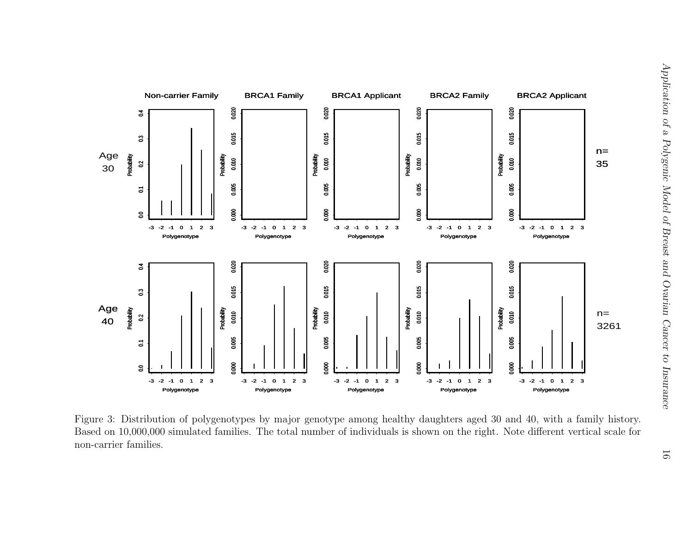

Figure 3: Distribution of polygenotypes by major genotype among healthy daughters aged 30 and 40, with <sup>a</sup> family history. Based on 10,000,000 simulated families. The total number of individuals is shown on the right. Note different vertical scale for non-carrier families.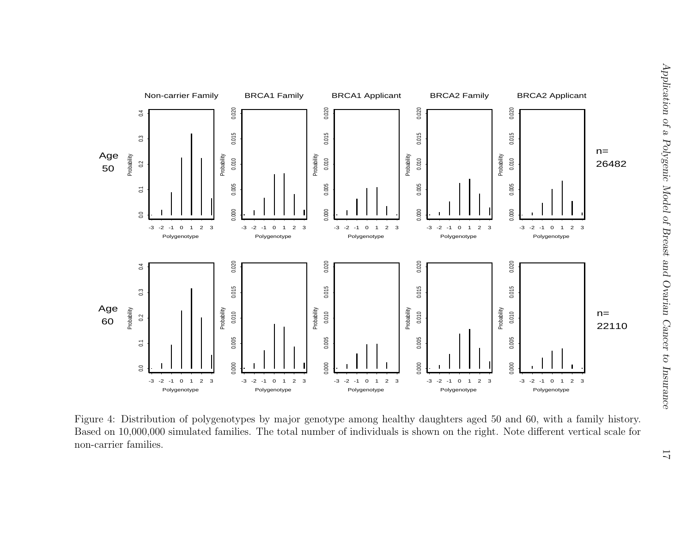

Figure 4: Distribution of polygenotypes by major genotype among healthy daughters aged 50 and 60, with <sup>a</sup> family history. Based on 10,000,000 simulated families. The total number of individuals is shown on the right. Note different vertical scale for non-carrier families.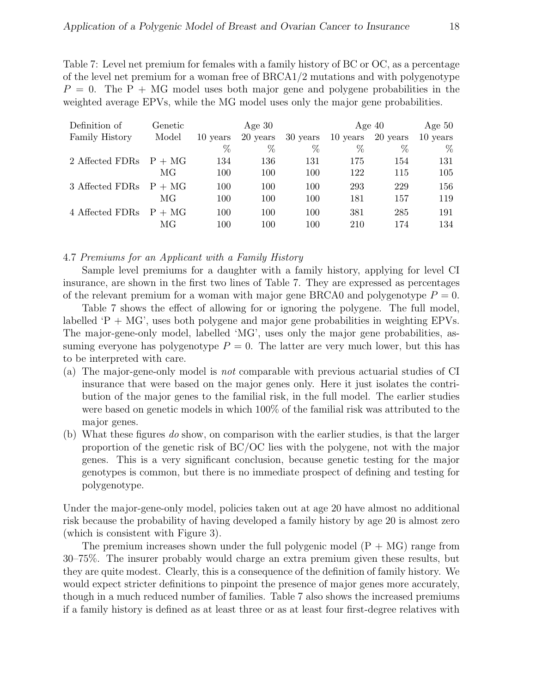Table 7: Level net premium for females with a family history of BC or OC, as a percentage of the level net premium for a woman free of BRCA1/2 mutations and with polygenotype  $P = 0$ . The P + MG model uses both major gene and polygene probabilities in the weighted average EPVs, while the MG model uses only the major gene probabilities.

| Definition of            | Genetic |          | Age $30$ |          |          | Age $40$ | Age $50$ |
|--------------------------|---------|----------|----------|----------|----------|----------|----------|
| Family History           | Model   | 10 years | 20 years | 30 years | 10 years | 20 years | 10 years |
|                          |         | %        | %        | $\%$     | $\%$     | $\%$     | $\%$     |
| 2 Affected FDRs $P + MG$ |         | 134      | 136      | 131      | 175      | 154      | 131      |
|                          | MG      | 100      | 100      | 100      | 122      | 115      | 105      |
| 3 Affected FDRs $P + MG$ |         | 100      | 100      | 100      | 293      | 229      | 156      |
|                          | MG      | 100      | 100      | 100      | 181      | 157      | 119      |
| 4 Affected FDRs $P + MG$ |         | 100      | 100      | 100      | 381      | 285      | 191      |
|                          | МG      | 100      | 100      | 100      | 210      | 174      | 134      |

4.7 Premiums for an Applicant with a Family History

Sample level premiums for a daughter with a family history, applying for level CI insurance, are shown in the first two lines of Table 7. They are expressed as percentages of the relevant premium for a woman with major gene BRCA0 and polygenotype  $P = 0$ .

Table 7 shows the effect of allowing for or ignoring the polygene. The full model, labelled  $P + MG'$ , uses both polygene and major gene probabilities in weighting EPVs. The major-gene-only model, labelled 'MG', uses only the major gene probabilities, assuming everyone has polygenotype  $P = 0$ . The latter are very much lower, but this has to be interpreted with care.

- (a) The major-gene-only model is not comparable with previous actuarial studies of CI insurance that were based on the major genes only. Here it just isolates the contribution of the major genes to the familial risk, in the full model. The earlier studies were based on genetic models in which 100% of the familial risk was attributed to the major genes.
- (b) What these figures do show, on comparison with the earlier studies, is that the larger proportion of the genetic risk of BC/OC lies with the polygene, not with the major genes. This is a very significant conclusion, because genetic testing for the major genotypes is common, but there is no immediate prospect of defining and testing for polygenotype.

Under the major-gene-only model, policies taken out at age 20 have almost no additional risk because the probability of having developed a family history by age 20 is almost zero (which is consistent with Figure 3).

The premium increases shown under the full polygenic model  $(P + MG)$  range from 30–75%. The insurer probably would charge an extra premium given these results, but they are quite modest. Clearly, this is a consequence of the definition of family history. We would expect stricter definitions to pinpoint the presence of major genes more accurately, though in a much reduced number of families. Table 7 also shows the increased premiums if a family history is defined as at least three or as at least four first-degree relatives with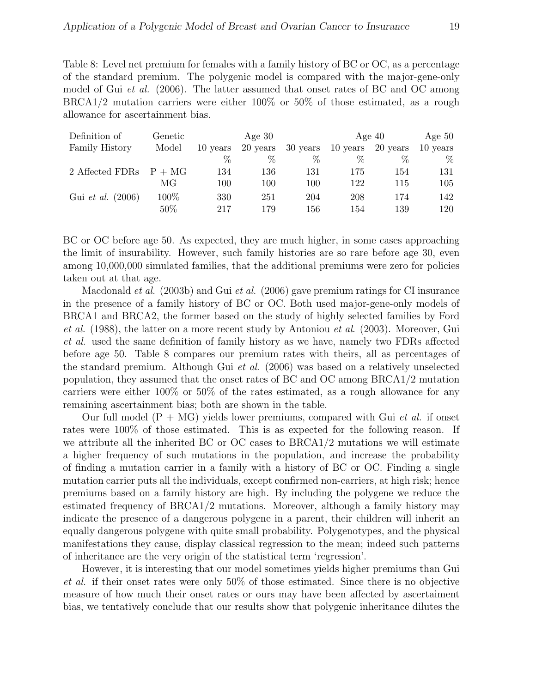Table 8: Level net premium for females with a family history of BC or OC, as a percentage of the standard premium. The polygenic model is compared with the major-gene-only model of Gui *et al.* (2006). The latter assumed that onset rates of BC and OC among BRCA1/2 mutation carriers were either 100% or 50% of those estimated, as a rough allowance for ascertainment bias.

| Definition of            | Genetic |          | Age $30$ |          |          | Age $40$ | Age $50$ |
|--------------------------|---------|----------|----------|----------|----------|----------|----------|
| Family History           | Model   | 10 years | 20 years | 30 years | 10 years | 20 years | 10 years |
|                          |         | $\%$     | %        | $\%$     | %        | $\%$     | $\%$     |
| 2 Affected FDRs $P + MG$ |         | 134      | 136      | 131      | 175      | 154      | 131      |
|                          | МG      | 100      | 100      | 100      | 122      | 115      | 105      |
| Gui <i>et al.</i> (2006) | 100\%   | 330      | 251      | 204      | 208      | 174      | 142      |
|                          | $50\%$  | 217      | 179      | 156      | 154      | 139      | 120      |

BC or OC before age 50. As expected, they are much higher, in some cases approaching the limit of insurability. However, such family histories are so rare before age 30, even among 10,000,000 simulated families, that the additional premiums were zero for policies taken out at that age.

Macdonald et al. (2003b) and Gui et al. (2006) gave premium ratings for CI insurance in the presence of a family history of BC or OC. Both used major-gene-only models of BRCA1 and BRCA2, the former based on the study of highly selected families by Ford et al. (1988), the latter on a more recent study by Antoniou et al. (2003). Moreover, Gui et al. used the same definition of family history as we have, namely two FDRs affected before age 50. Table 8 compares our premium rates with theirs, all as percentages of the standard premium. Although Gui et al. (2006) was based on a relatively unselected population, they assumed that the onset rates of BC and OC among BRCA1/2 mutation carriers were either 100% or 50% of the rates estimated, as a rough allowance for any remaining ascertainment bias; both are shown in the table.

Our full model  $(P + MG)$  yields lower premiums, compared with Gui *et al.* if onset rates were 100% of those estimated. This is as expected for the following reason. If we attribute all the inherited BC or OC cases to BRCA1/2 mutations we will estimate a higher frequency of such mutations in the population, and increase the probability of finding a mutation carrier in a family with a history of BC or OC. Finding a single mutation carrier puts all the individuals, except confirmed non-carriers, at high risk; hence premiums based on a family history are high. By including the polygene we reduce the estimated frequency of BRCA1/2 mutations. Moreover, although a family history may indicate the presence of a dangerous polygene in a parent, their children will inherit an equally dangerous polygene with quite small probability. Polygenotypes, and the physical manifestations they cause, display classical regression to the mean; indeed such patterns of inheritance are the very origin of the statistical term 'regression'.

However, it is interesting that our model sometimes yields higher premiums than Gui et al. if their onset rates were only 50% of those estimated. Since there is no objective measure of how much their onset rates or ours may have been affected by ascertaiment bias, we tentatively conclude that our results show that polygenic inheritance dilutes the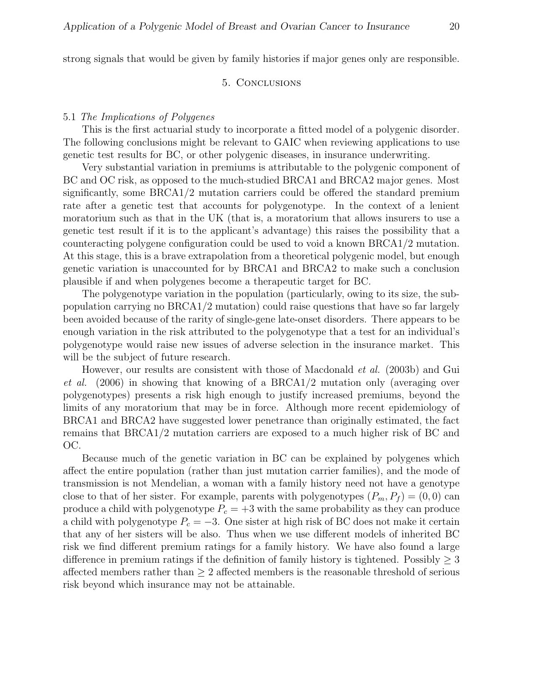strong signals that would be given by family histories if major genes only are responsible.

# 5. Conclusions

# 5.1 The Implications of Polygenes

This is the first actuarial study to incorporate a fitted model of a polygenic disorder. The following conclusions might be relevant to GAIC when reviewing applications to use genetic test results for BC, or other polygenic diseases, in insurance underwriting.

Very substantial variation in premiums is attributable to the polygenic component of BC and OC risk, as opposed to the much-studied BRCA1 and BRCA2 major genes. Most significantly, some BRCA1/2 mutation carriers could be offered the standard premium rate after a genetic test that accounts for polygenotype. In the context of a lenient moratorium such as that in the UK (that is, a moratorium that allows insurers to use a genetic test result if it is to the applicant's advantage) this raises the possibility that a counteracting polygene configuration could be used to void a known BRCA1/2 mutation. At this stage, this is a brave extrapolation from a theoretical polygenic model, but enough genetic variation is unaccounted for by BRCA1 and BRCA2 to make such a conclusion plausible if and when polygenes become a therapeutic target for BC.

The polygenotype variation in the population (particularly, owing to its size, the subpopulation carrying no BRCA1/2 mutation) could raise questions that have so far largely been avoided because of the rarity of single-gene late-onset disorders. There appears to be enough variation in the risk attributed to the polygenotype that a test for an individual's polygenotype would raise new issues of adverse selection in the insurance market. This will be the subject of future research.

However, our results are consistent with those of Macdonald et al. (2003b) and Gui et al. (2006) in showing that knowing of a BRCA1/2 mutation only (averaging over polygenotypes) presents a risk high enough to justify increased premiums, beyond the limits of any moratorium that may be in force. Although more recent epidemiology of BRCA1 and BRCA2 have suggested lower penetrance than originally estimated, the fact remains that BRCA1/2 mutation carriers are exposed to a much higher risk of BC and OC.

Because much of the genetic variation in BC can be explained by polygenes which affect the entire population (rather than just mutation carrier families), and the mode of transmission is not Mendelian, a woman with a family history need not have a genotype close to that of her sister. For example, parents with polygenotypes  $(P_m, P_f) = (0, 0)$  can produce a child with polygenotype  $P_c = +3$  with the same probability as they can produce a child with polygenotype  $P_c = -3$ . One sister at high risk of BC does not make it certain that any of her sisters will be also. Thus when we use different models of inherited BC risk we find different premium ratings for a family history. We have also found a large difference in premium ratings if the definition of family history is tightened. Possibly  $\geq 3$ affected members rather than  $\geq 2$  affected members is the reasonable threshold of serious risk beyond which insurance may not be attainable.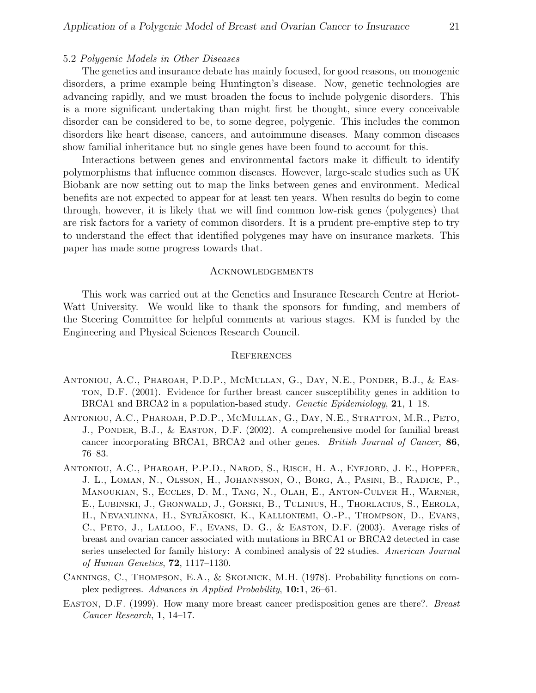# 5.2 Polygenic Models in Other Diseases

The genetics and insurance debate has mainly focused, for good reasons, on monogenic disorders, a prime example being Huntington's disease. Now, genetic technologies are advancing rapidly, and we must broaden the focus to include polygenic disorders. This is a more significant undertaking than might first be thought, since every conceivable disorder can be considered to be, to some degree, polygenic. This includes the common disorders like heart disease, cancers, and autoimmune diseases. Many common diseases show familial inheritance but no single genes have been found to account for this.

Interactions between genes and environmental factors make it difficult to identify polymorphisms that influence common diseases. However, large-scale studies such as UK Biobank are now setting out to map the links between genes and environment. Medical benefits are not expected to appear for at least ten years. When results do begin to come through, however, it is likely that we will find common low-risk genes (polygenes) that are risk factors for a variety of common disorders. It is a prudent pre-emptive step to try to understand the effect that identified polygenes may have on insurance markets. This paper has made some progress towards that.

### **ACKNOWLEDGEMENTS**

This work was carried out at the Genetics and Insurance Research Centre at Heriot-Watt University. We would like to thank the sponsors for funding, and members of the Steering Committee for helpful comments at various stages. KM is funded by the Engineering and Physical Sciences Research Council.

#### **REFERENCES**

- Antoniou, A.C., Pharoah, P.D.P., McMullan, G., Day, N.E., Ponder, B.J., & Easton, D.F. (2001). Evidence for further breast cancer susceptibility genes in addition to BRCA1 and BRCA2 in a population-based study. *Genetic Epidemiology*, **21**, 1–18.
- Antoniou, A.C., Pharoah, P.D.P., McMullan, G., Day, N.E., Stratton, M.R., Peto, J., Ponder, B.J., & Easton, D.F. (2002). A comprehensive model for familial breast cancer incorporating BRCA1, BRCA2 and other genes. British Journal of Cancer, 86, 76–83.
- Antoniou, A.C., Pharoah, P.P.D., Narod, S., Risch, H. A., Eyfjord, J. E., Hopper, J. L., Loman, N., Olsson, H., Johannsson, O., Borg, A., Pasini, B., Radice, P., Manoukian, S., Eccles, D. M., Tang, N., Olah, E., Anton-Culver H., Warner, E., Lubinski, J., Gronwald, J., Gorski, B., Tulinius, H., Thorlacius, S., Eerola, H., Nevanlinna, H., Syrjäkoski, K., Kallioniemi, O.-P., Thompson, D., Evans, C., Peto, J., Lalloo, F., Evans, D. G., & Easton, D.F. (2003). Average risks of breast and ovarian cancer associated with mutations in BRCA1 or BRCA2 detected in case series unselected for family history: A combined analysis of 22 studies. American Journal of Human Genetics, 72, 1117–1130.
- Cannings, C., Thompson, E.A., & Skolnick, M.H. (1978). Probability functions on complex pedigrees. Advances in Applied Probability, 10:1, 26–61.
- Easton, D.F. (1999). How many more breast cancer predisposition genes are there?. Breast Cancer Research, 1, 14–17.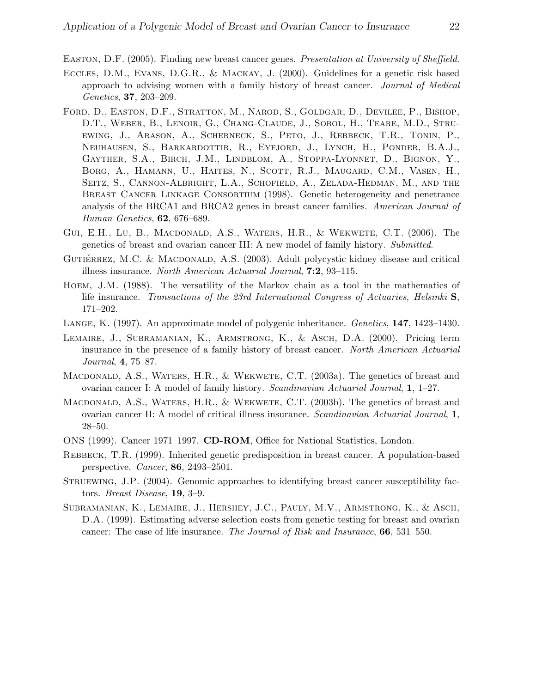Easton, D.F. (2005). Finding new breast cancer genes. Presentation at University of Sheffield.

- Eccles, D.M., Evans, D.G.R., & Mackay, J. (2000). Guidelines for a genetic risk based approach to advising women with a family history of breast cancer. Journal of Medical Genetics, 37, 203–209.
- Ford, D., Easton, D.F., Stratton, M., Narod, S., Goldgar, D., Devilee, P., Bishop, D.T., Weber, B., Lenoir, G., Chang-Claude, J., Sobol, H., Teare, M.D., Struewing, J., Arason, A., Scherneck, S., Peto, J., Rebbeck, T.R., Tonin, P., Neuhausen, S., Barkardottir, R., Eyfjord, J., Lynch, H., Ponder, B.A.J., Gayther, S.A., Birch, J.M., Lindblom, A., Stoppa-Lyonnet, D., Bignon, Y., Borg, A., Hamann, U., Haites, N., Scott, R.J., Maugard, C.M., Vasen, H., SEITZ, S., CANNON-ALBRIGHT, L.A., SCHOFIELD, A., ZELADA-HEDMAN, M., AND THE Breast Cancer Linkage Consortium (1998). Genetic heterogeneity and penetrance analysis of the BRCA1 and BRCA2 genes in breast cancer families. American Journal of Human Genetics, 62, 676–689.
- Gui, E.H., Lu, B., Macdonald, A.S., Waters, H.R., & Wekwete, C.T. (2006). The genetics of breast and ovarian cancer III: A new model of family history. Submitted.
- GUTIÉRREZ, M.C. & MACDONALD, A.S.  $(2003)$ . Adult polycystic kidney disease and critical illness insurance. North American Actuarial Journal, 7:2, 93–115.
- Hoem, J.M. (1988). The versatility of the Markov chain as a tool in the mathematics of life insurance. Transactions of the 23rd International Congress of Actuaries, Helsinki S, 171–202.
- Lange, K. (1997). An approximate model of polygenic inheritance. Genetics, 147, 1423–1430.
- Lemaire, J., Subramanian, K., Armstrong, K., & Asch, D.A. (2000). Pricing term insurance in the presence of a family history of breast cancer. North American Actuarial Journal, 4, 75–87.
- MACDONALD, A.S., WATERS, H.R., & WEKWETE, C.T. (2003a). The genetics of breast and ovarian cancer I: A model of family history. Scandinavian Actuarial Journal, 1, 1–27.
- MACDONALD, A.S., WATERS, H.R.,  $\&$  WEKWETE, C.T. (2003b). The genetics of breast and ovarian cancer II: A model of critical illness insurance. Scandinavian Actuarial Journal, 1, 28–50.
- ONS (1999). Cancer 1971–1997. CD-ROM, Office for National Statistics, London.
- Rebbeck, T.R. (1999). Inherited genetic predisposition in breast cancer. A population-based perspective. Cancer, 86, 2493–2501.
- STRUEWING, J.P. (2004). Genomic approaches to identifying breast cancer susceptibility factors. Breast Disease, 19, 3–9.
- Subramanian, K., Lemaire, J., Hershey, J.C., Pauly, M.V., Armstrong, K., & Asch, D.A. (1999). Estimating adverse selection costs from genetic testing for breast and ovarian cancer: The case of life insurance. The Journal of Risk and Insurance, 66, 531–550.